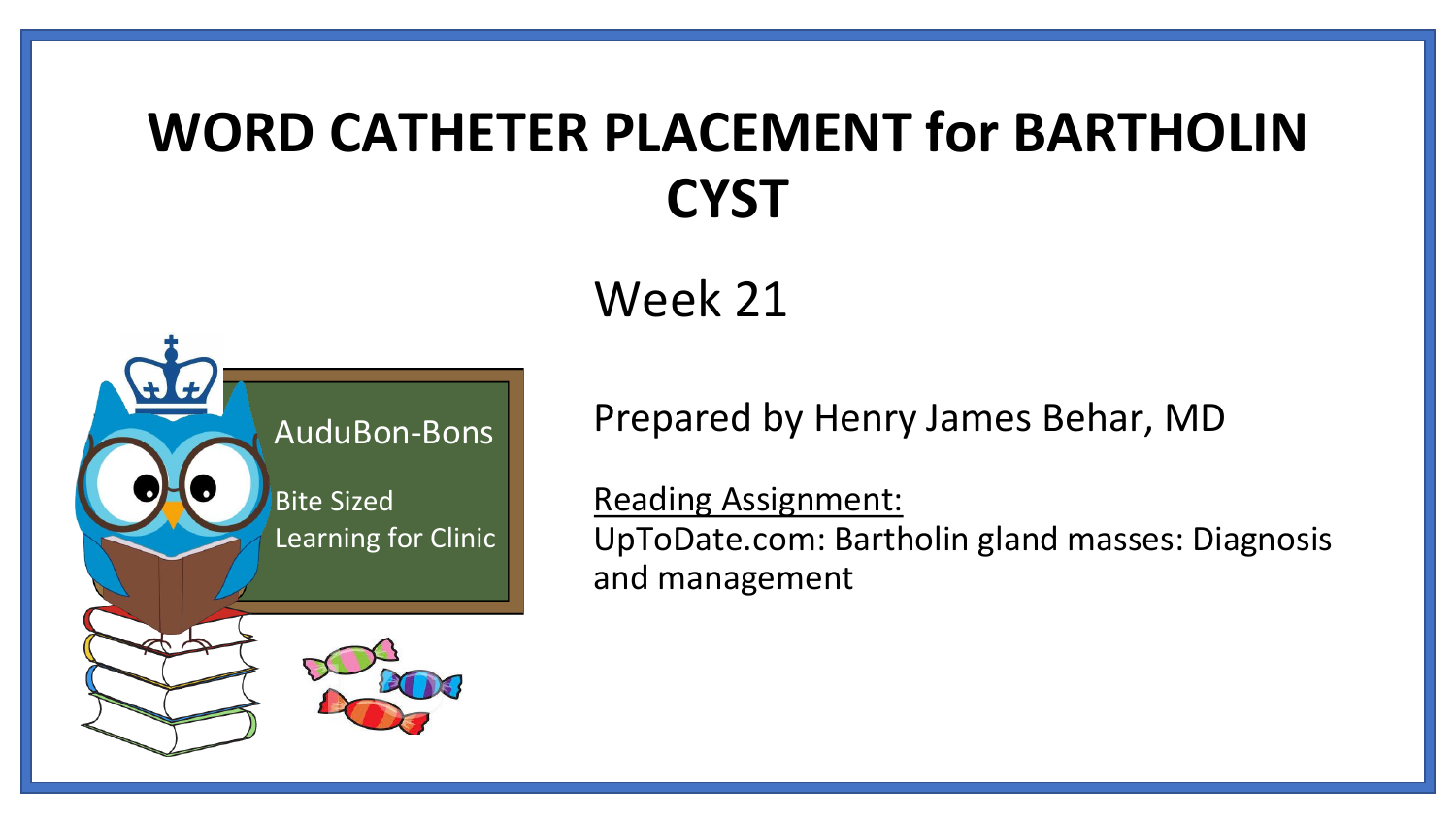# **WORD CATHETER PLACEMENT for BARTHOLIN CYST**

#### Week 21



Prepared by Henry James Behar, MD

Reading Assignment: UpToDate.com: Bartholin gland masses: Diagnosis and management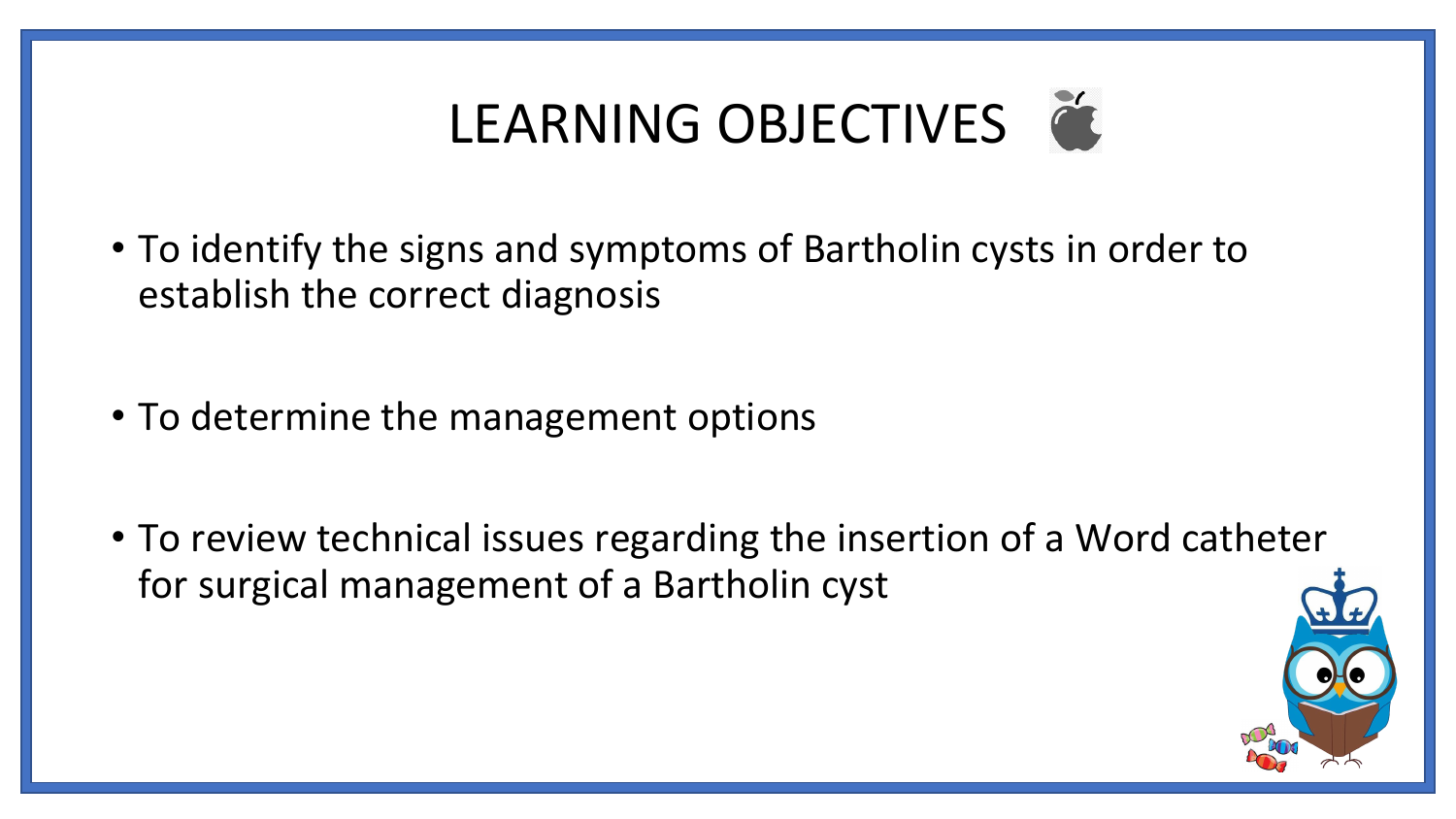# LEARNING OBJECTIVES

- To identify the signs and symptoms of Bartholin cysts in order to establish the correct diagnosis
- To determine the management options
- To review technical issues regarding the insertion of a Word catheter for surgical management of a Bartholin cyst

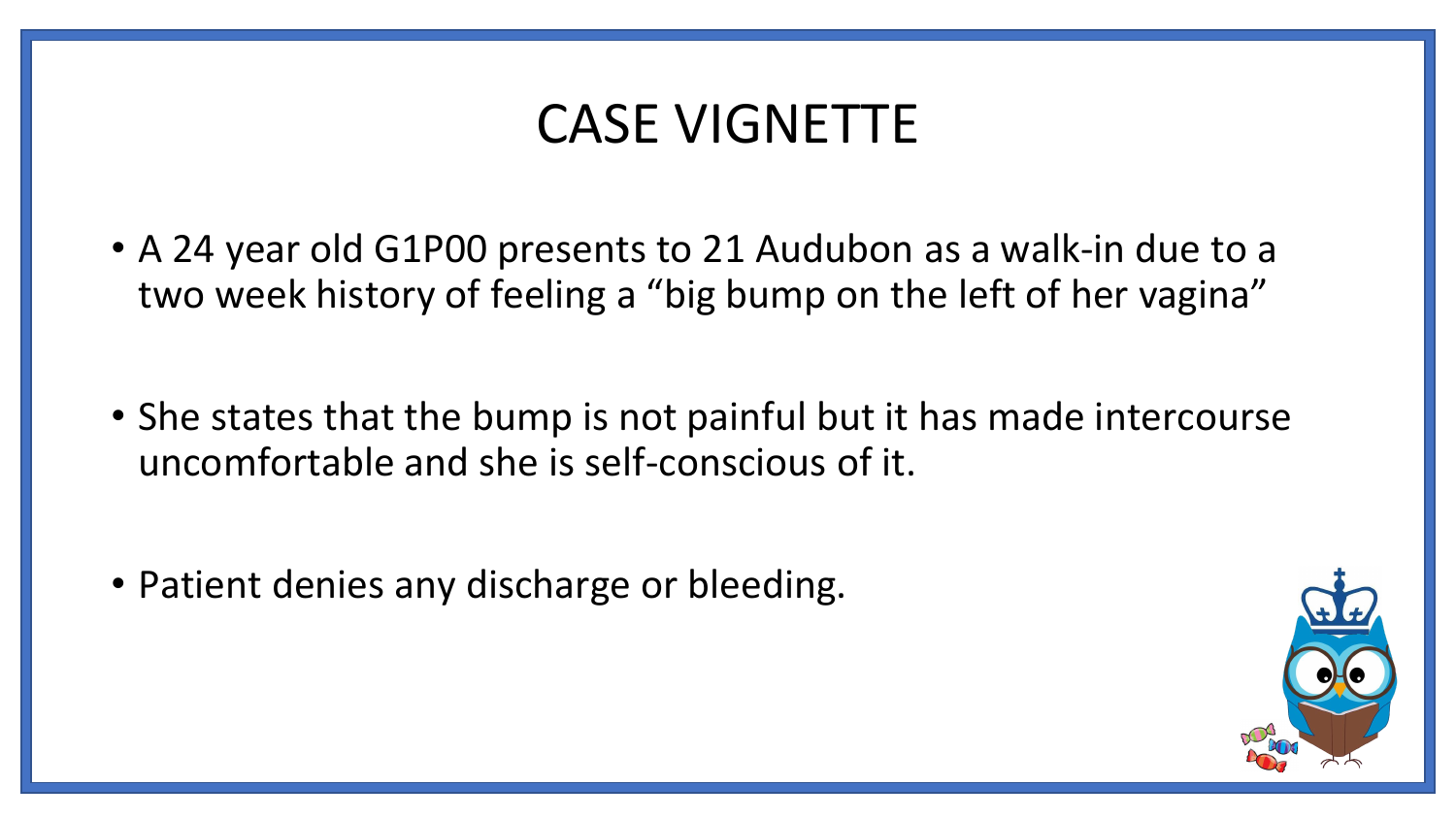#### CASE VIGNETTE

- A 24 year old G1P00 presents to 21 Audubon as a walk-in due to a two week history of feeling a "big bump on the left of her vagina"
- She states that the bump is not painful but it has made intercourse uncomfortable and she is self-conscious of it.
- Patient denies any discharge or bleeding.

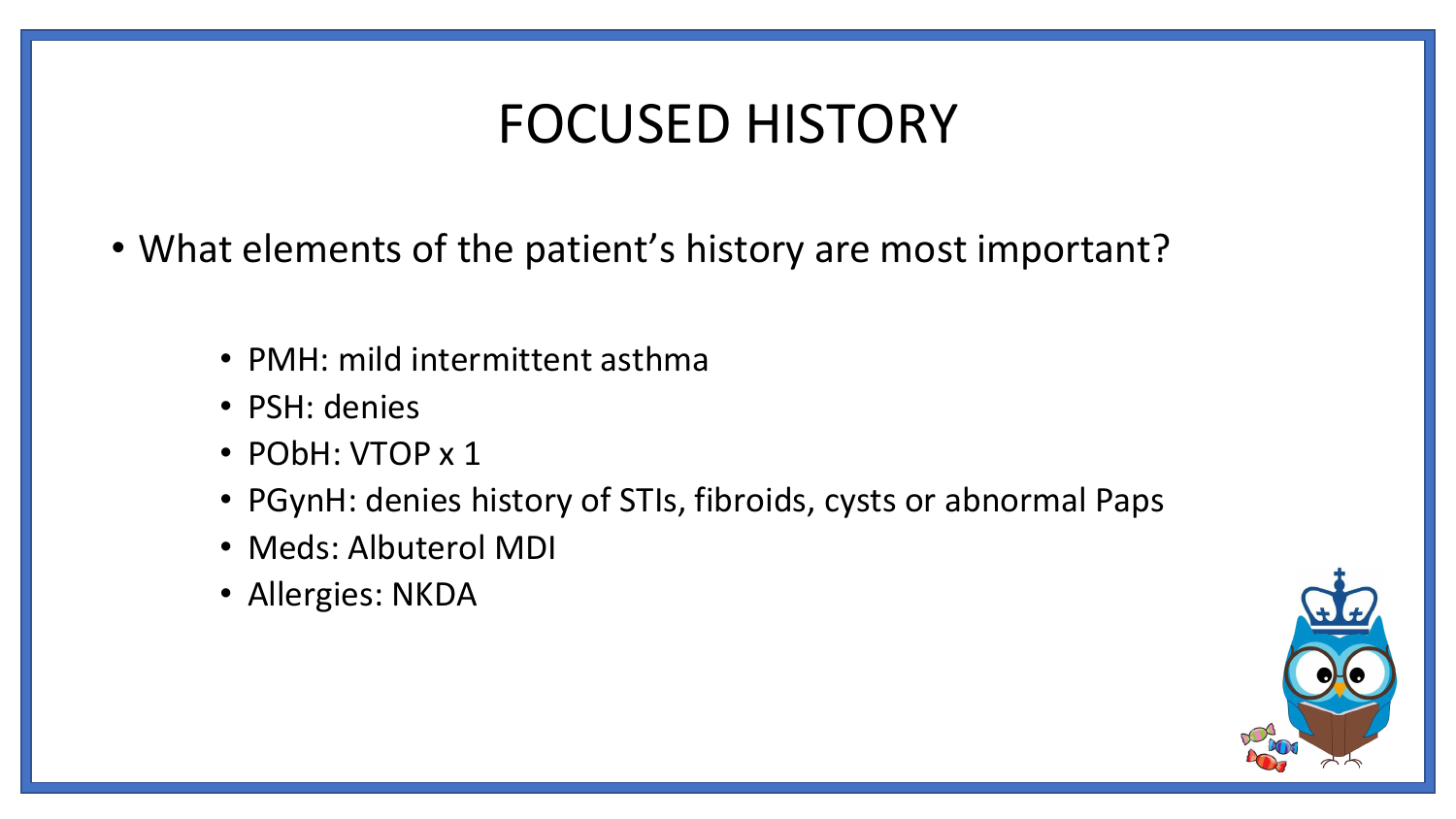#### FOCUSED HISTORY

- What elements of the patient's history are most important?
	- PMH: mild intermittent asthma
	- PSH: denies
	- PObH: VTOP x 1
	- PGynH: denies history of STIs, fibroids, cysts or abnormal Paps
	- Meds: Albuterol MDI
	- Allergies: NKDA

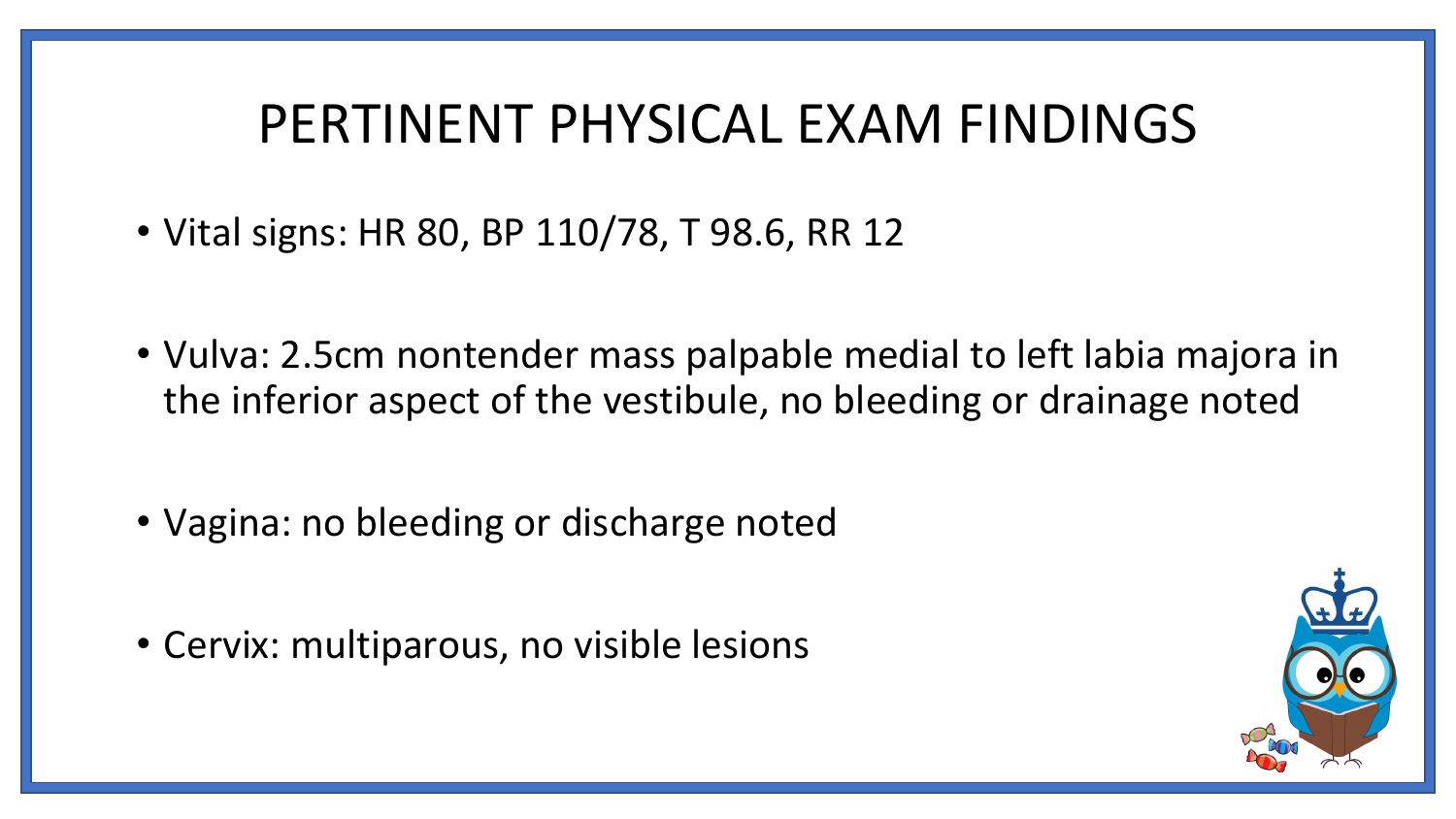#### PERTINENT PHYSICAL EXAM FINDINGS

- Vital signs: HR 80, BP 110/78, T 98.6, RR 12
- Vulva: 2.5cm nontender mass palpable medial to left labia majora in the inferior aspect of the vestibule, no bleeding or drainage noted
- Vagina: no bleeding or discharge noted
- Cervix: multiparous, no visible lesions

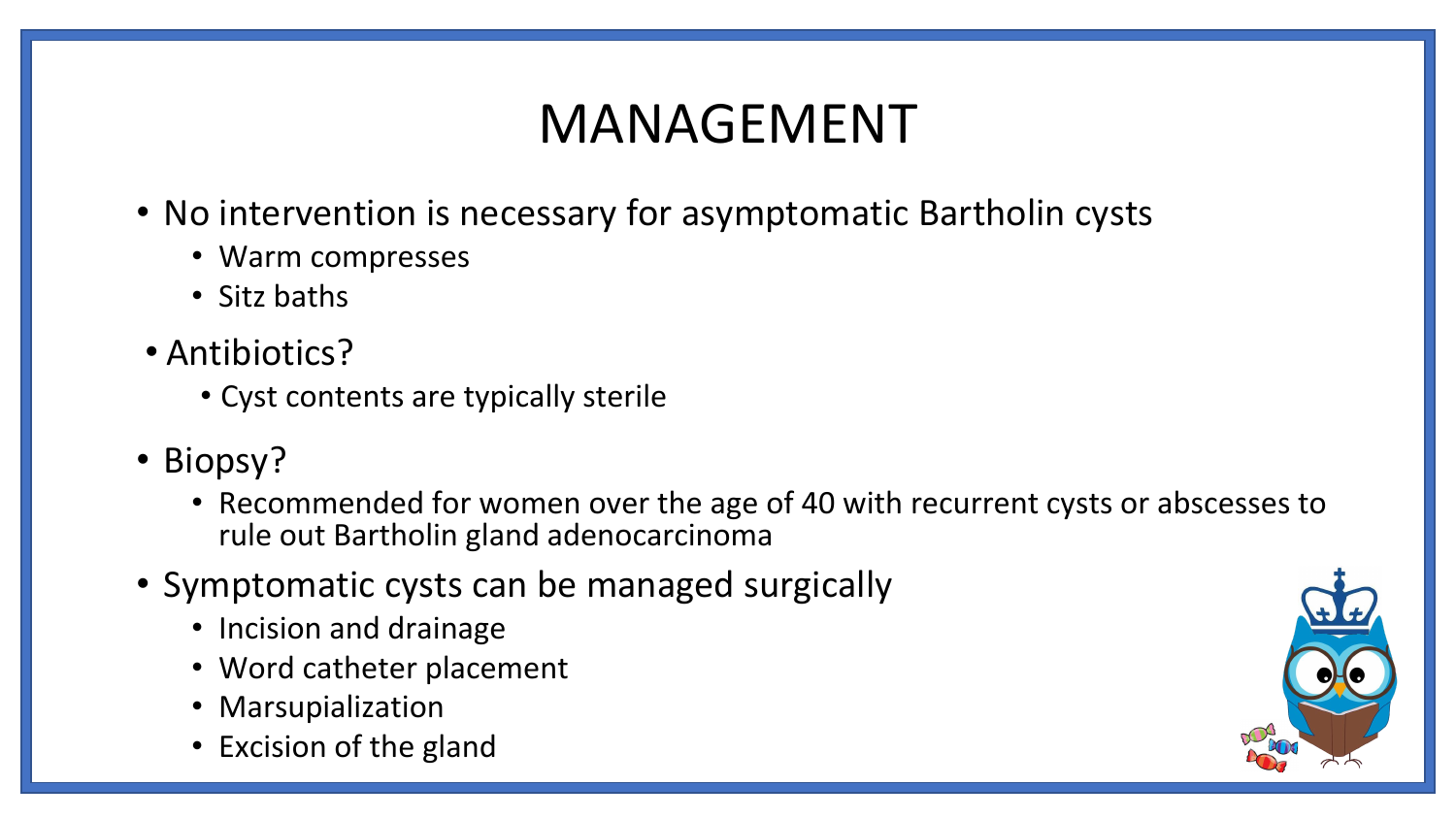# MANAGEMENT

- No intervention is necessary for asymptomatic Bartholin cysts
	- Warm compresses
	- Sitz baths
- Antibiotics?
	- Cyst contents are typically sterile
- Biopsy?
	- Recommended for women over the age of 40 with recurrent cysts or abscesses to rule out Bartholin gland adenocarcinoma
- Symptomatic cysts can be managed surgically
	- Incision and drainage
	- Word catheter placement
	- Marsupialization
	- Excision of the gland

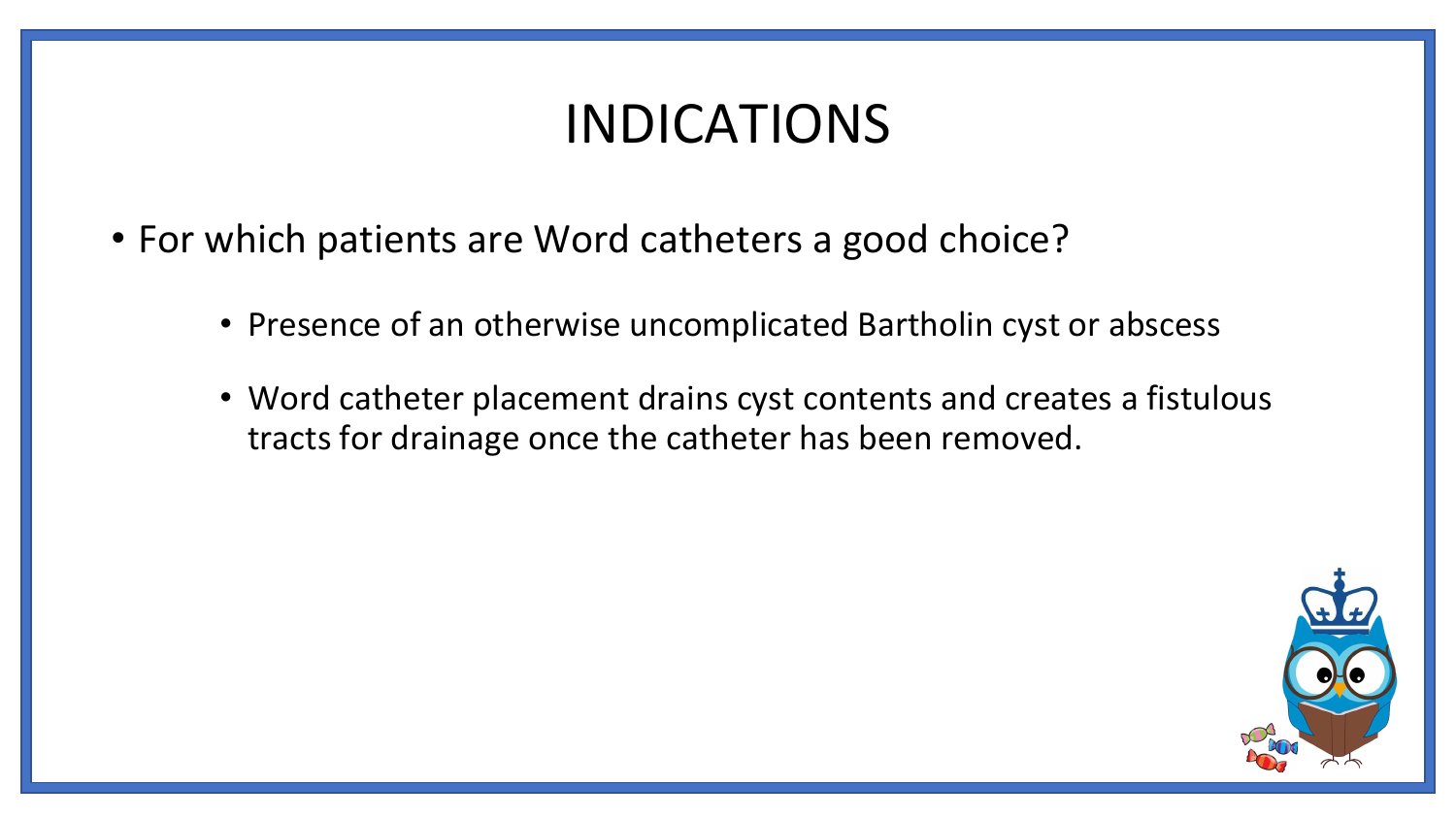#### INDICATIONS

- For which patients are Word catheters a good choice?
	- Presence of an otherwise uncomplicated Bartholin cyst or abscess
	- Word catheter placement drains cyst contents and creates a fistulous tracts for drainage once the catheter has been removed.

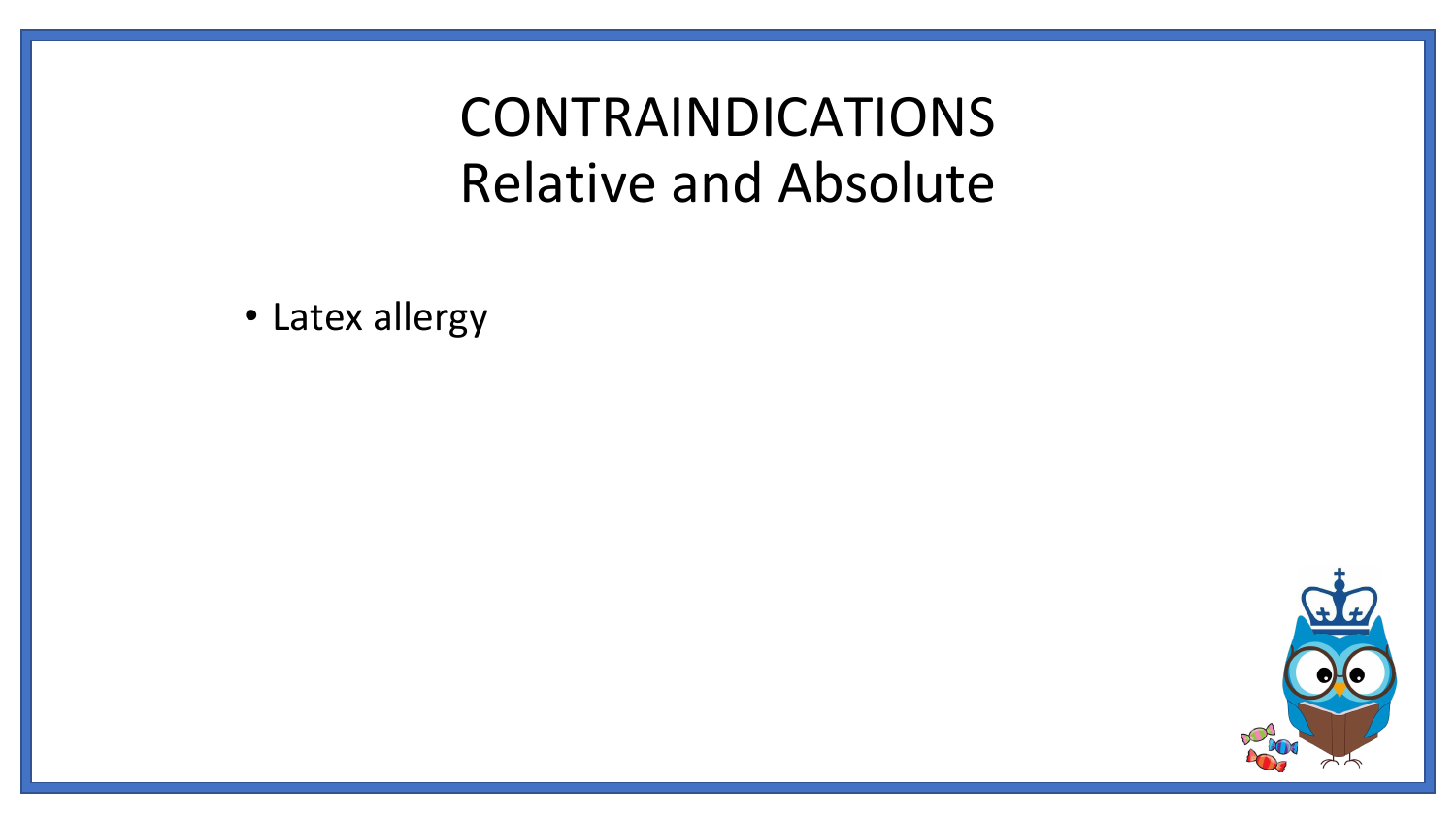### CONTRAINDICATIONS Relative and Absolute

• Latex allergy

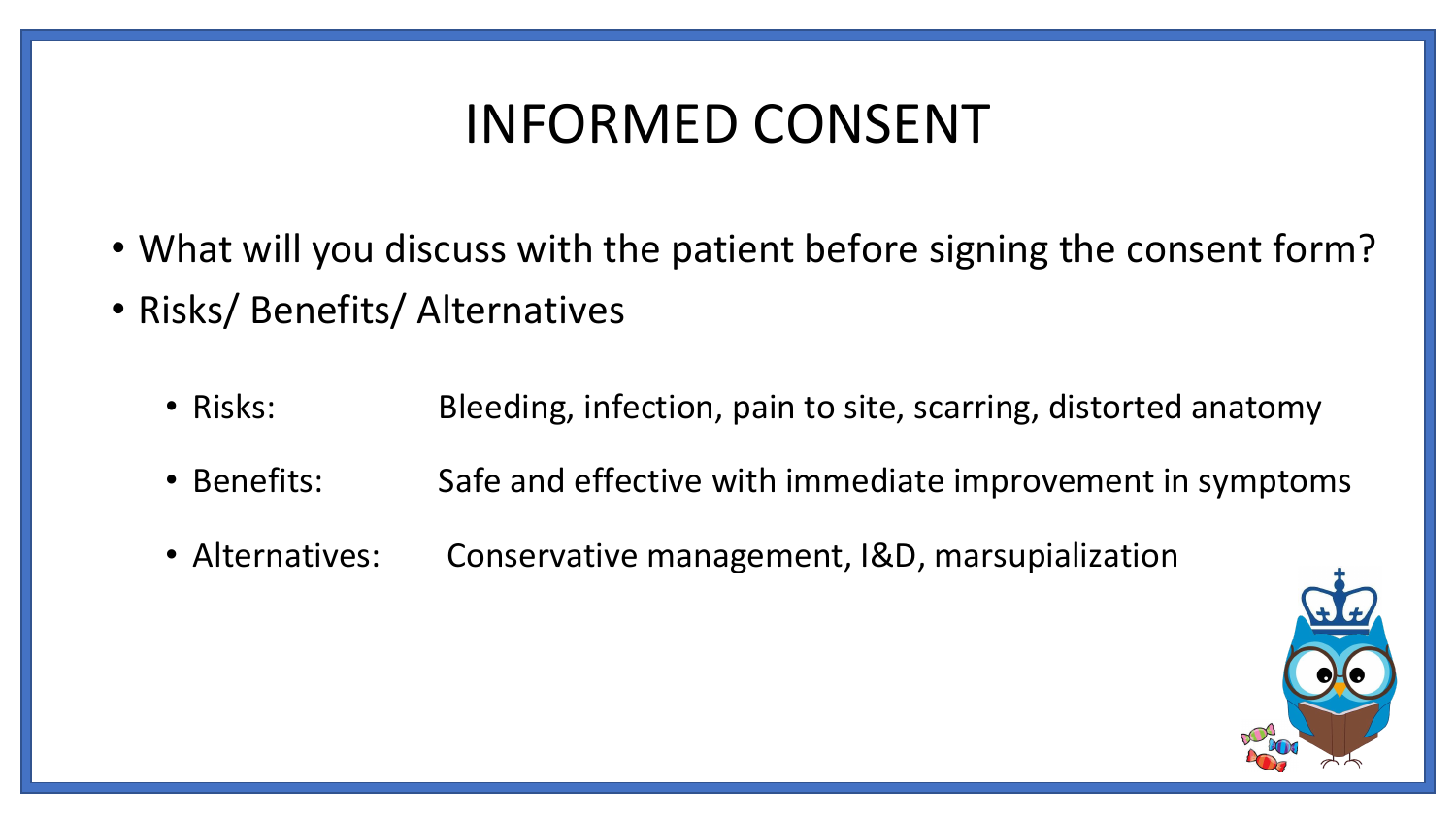### INFORMED CONSENT

- What will you discuss with the patient before signing the consent form?
- Risks/ Benefits/ Alternatives
	- Risks: Bleeding, infection, pain to site, scarring, distorted anatomy
	- Benefits: Safe and effective with immediate improvement in symptoms
	- Alternatives: Conservative management, I&D, marsupialization

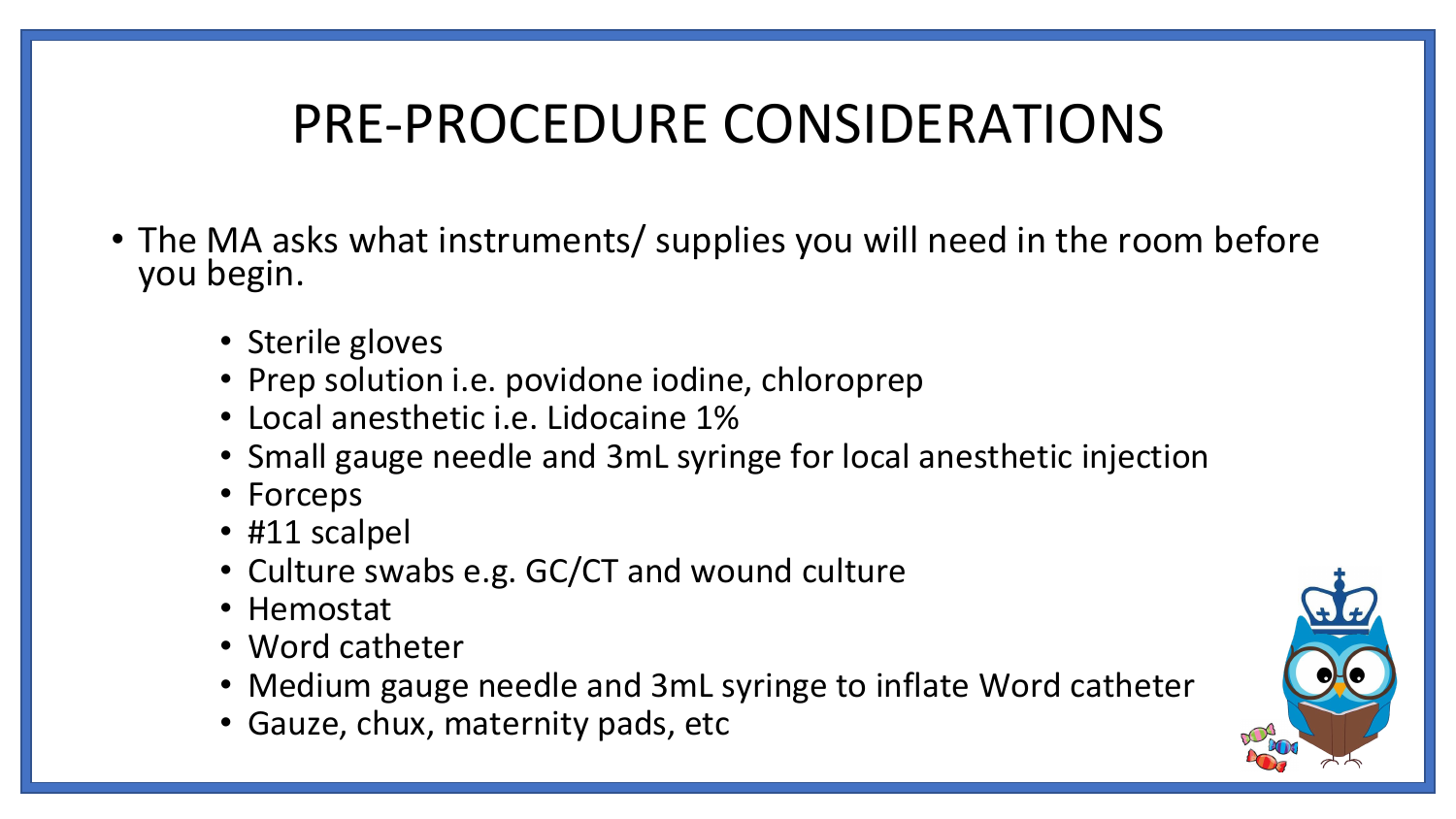# PRE-PROCEDURE CONSIDERATIONS

- The MA asks what instruments/ supplies you will need in the room before you begin.
	- Sterile gloves
	- Prep solution i.e. povidone iodine, chloroprep
	- Local anesthetic i.e. Lidocaine 1%
	- Small gauge needle and 3mL syringe for local anesthetic injection
	- Forceps
	- #11 scalpel
	- Culture swabs e.g. GC/CT and wound culture
	- Hemostat
	- Word catheter
	- Medium gauge needle and 3mL syringe to inflate Word catheter
	- Gauze, chux, maternity pads, etc

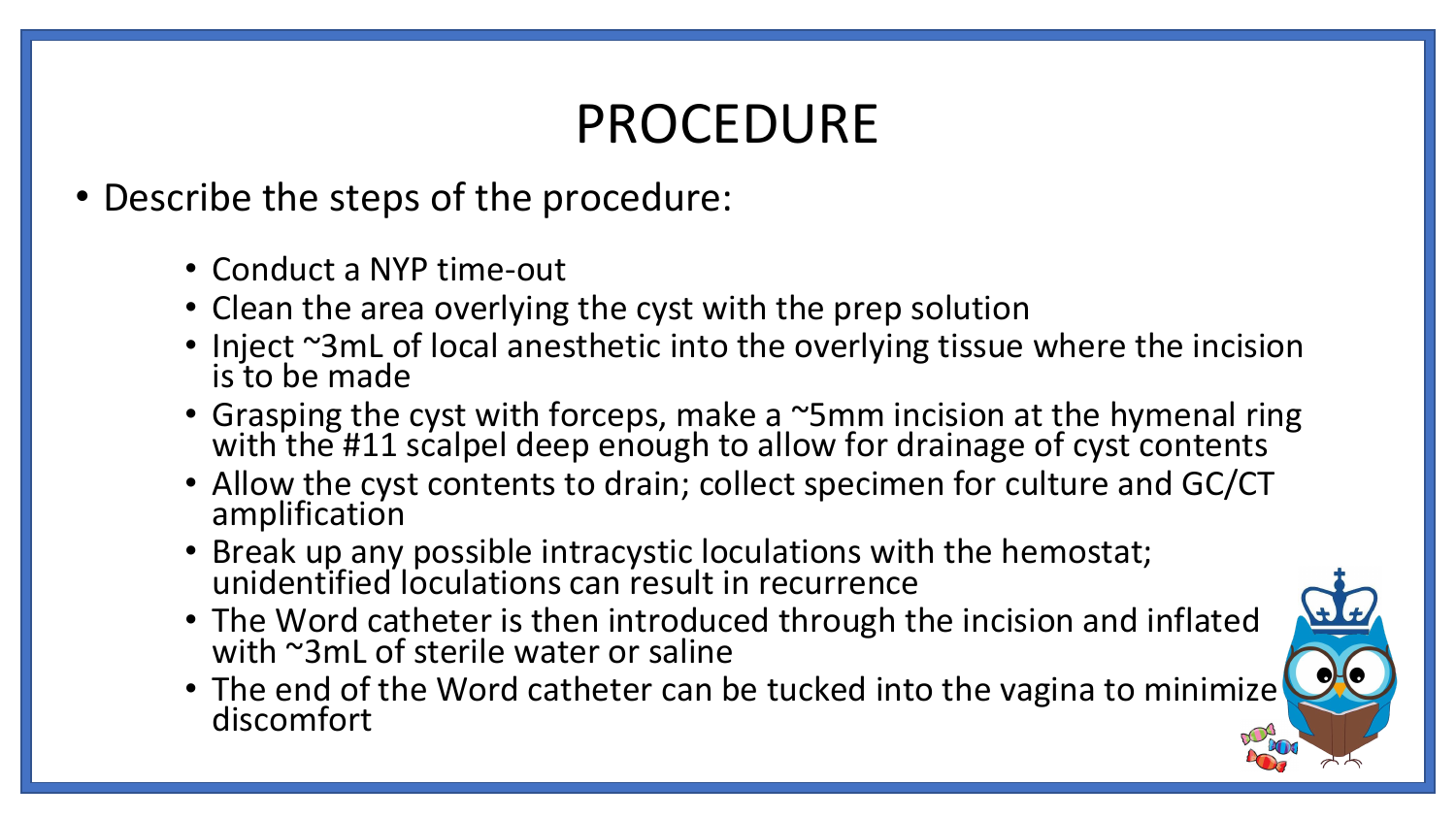# PROCEDURE

- Describe the steps of the procedure:
	- Conduct a NYP time-out
	- Clean the area overlying the cyst with the prep solution
	- Inject ~3mL of local anesthetic into the overlying tissue where the incision is to be made
	- Grasping the cyst with forceps, make a ~5mm incision at the hymenal ring with the #11 scalpel deep enough to allow for drainage of cyst contents
	- Allow the cyst contents to drain; collect specimen for culture and GC/CT amplification
	- Break up any possible intracystic loculations with the hemostat; unidentified loculations can result in recurrence
	- The Word catheter is then introduced through the incision and inflated with ~3mL of sterile water or saline
	- The end of the Word catheter can be tucked into the vagina to minimize discomfort

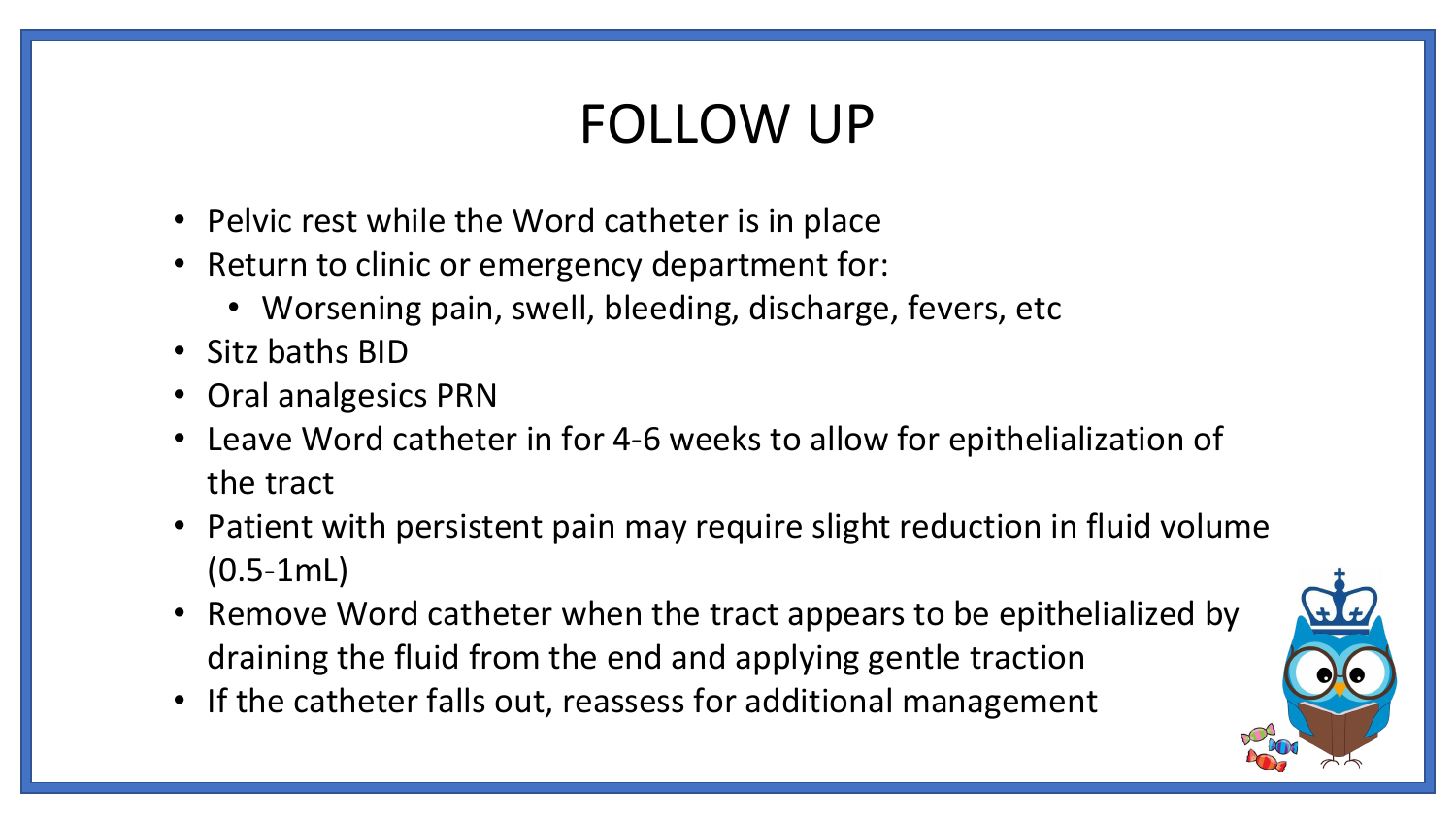# FOLLOW UP

- Pelvic rest while the Word catheter is in place
- Return to clinic or emergency department for:
	- Worsening pain, swell, bleeding, discharge, fevers, etc
- Sitz baths BID
- Oral analgesics PRN
- Leave Word catheter in for 4-6 weeks to allow for epithelialization of the tract
- Patient with persistent pain may require slight reduction in fluid volume (0.5-1mL)
- Remove Word catheter when the tract appears to be epithelialized by draining the fluid from the end and applying gentle traction
- If the catheter falls out, reassess for additional management

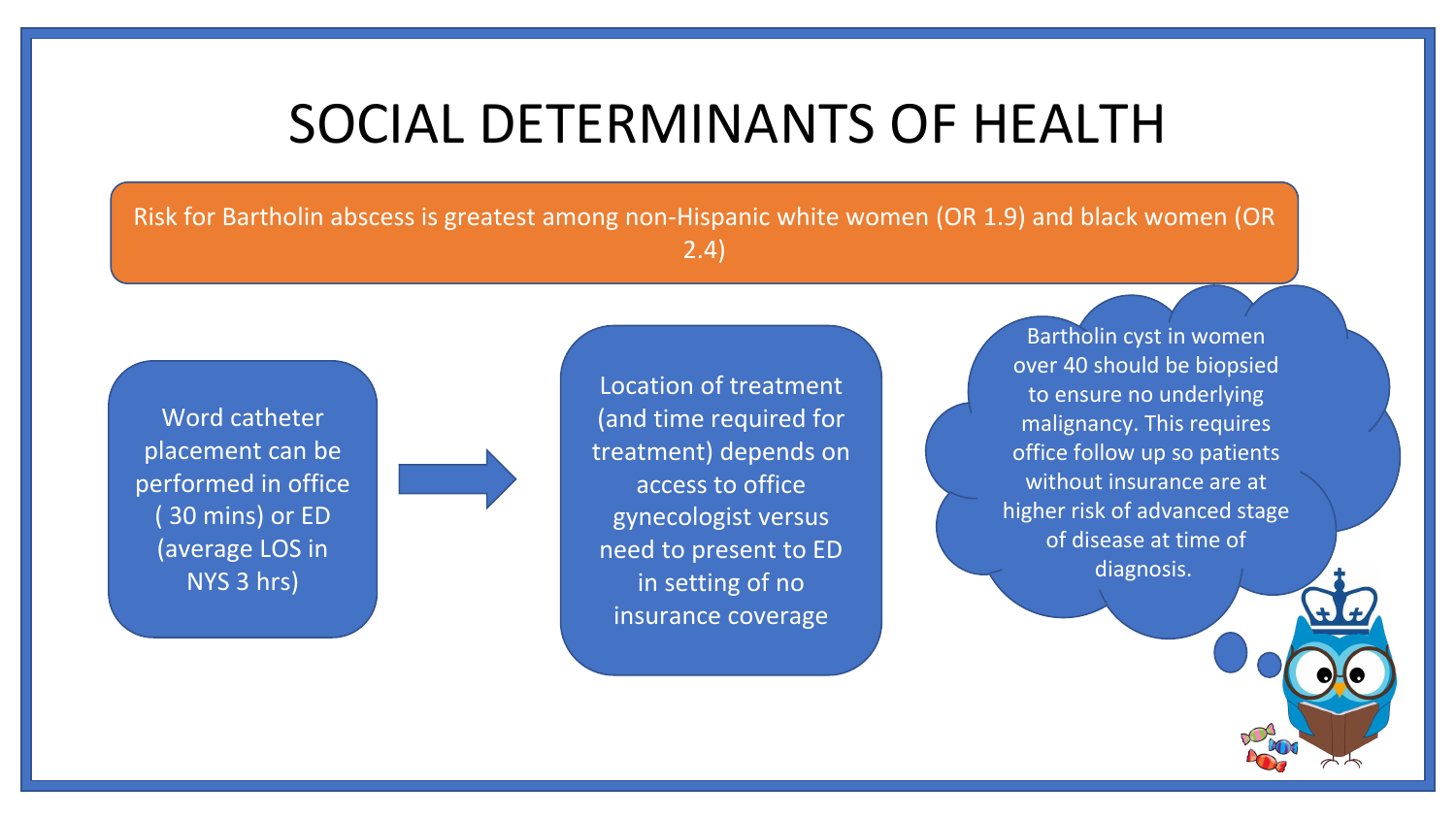#### SOCIAL DETERMINANTS OF HEALTH

Risk for Bartholin abscess is greatest among non-Hispanic white women (OR 1.9) and black women (OR 2.4)

Word catheter placement can be performed in office ( 30 mins) or ED (average LOS in NYS 3 hrs)

Location of treatment (and time required for treatment) depends on access to office gynecologist versus need to present to ED in setting of no insurance coverage

Bartholin cyst in women over 40 should be biopsied to ensure no underlying malignancy. This requires office follow up so patients without insurance are at higher risk of advanced stage of disease at time of diagnosis.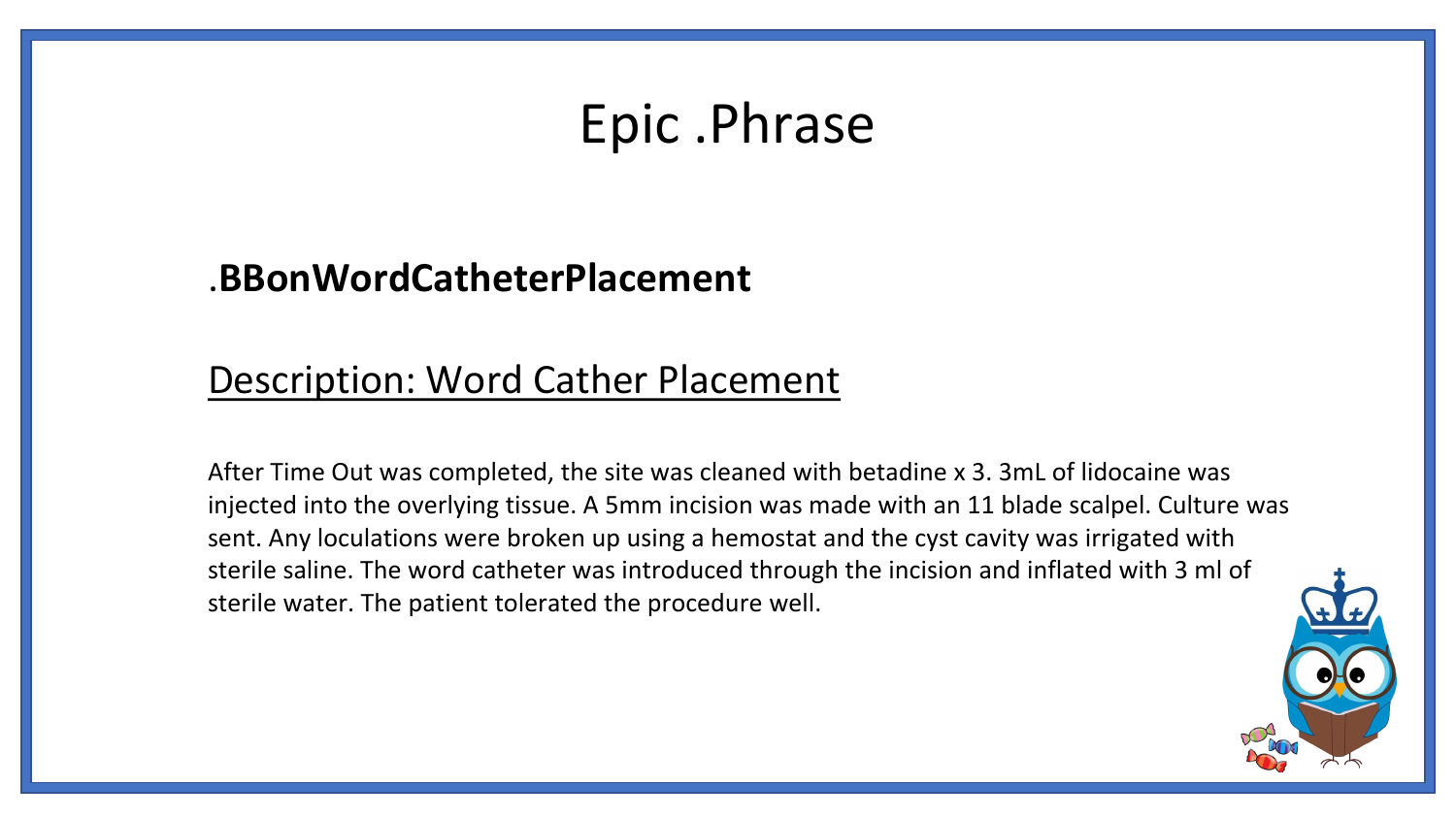#### Epic .Phrase

#### .**BBonWordCatheterPlacement**

#### Description: Word Cather Placement

After Time Out was completed, the site was cleaned with betadine x 3. 3mL of lidocaine was injected into the overlying tissue. A 5mm incision was made with an 11 blade scalpel. Culture was sent. Any loculations were broken up using a hemostat and the cyst cavity was irrigated with sterile saline. The word catheter was introduced through the incision and inflated with 3 ml of sterile water. The patient tolerated the procedure well.

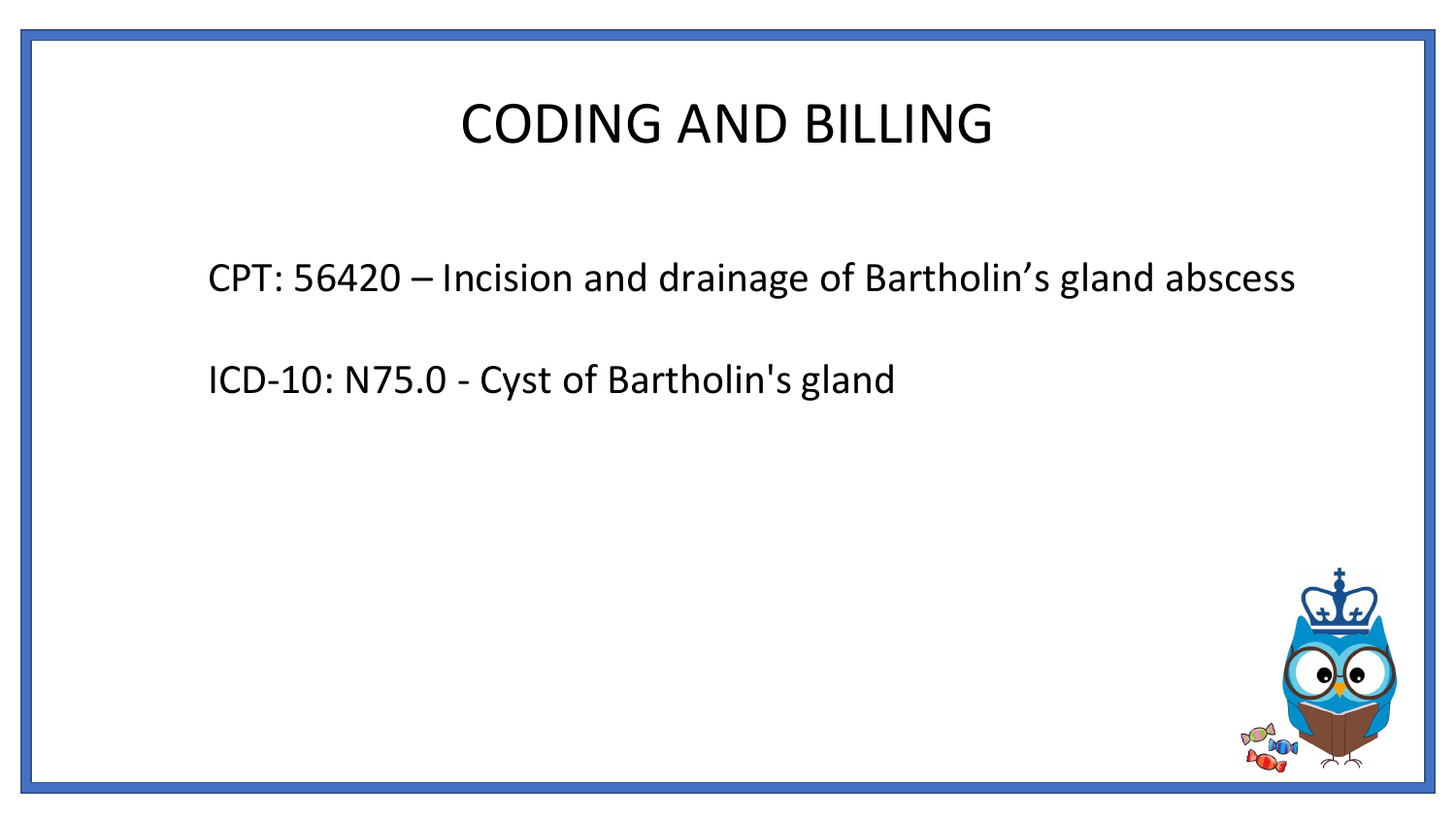#### CODING AND BILLING

CPT: 56420 – Incision and drainage of Bartholin's gland abscess

ICD-10: N75.0 - Cyst of Bartholin's gland